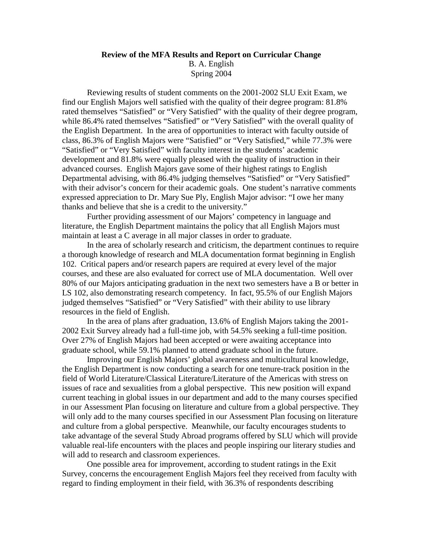## **Review of the MFA Results and Report on Curricular Change**  B. A. English Spring 2004

 Reviewing results of student comments on the 2001-2002 SLU Exit Exam, we find our English Majors well satisfied with the quality of their degree program: 81.8% rated themselves "Satisfied" or "Very Satisfied" with the quality of their degree program, while 86.4% rated themselves "Satisfied" or "Very Satisfied" with the overall quality of the English Department. In the area of opportunities to interact with faculty outside of class, 86.3% of English Majors were "Satisfied" or "Very Satisfied," while 77.3% were "Satisfied" or "Very Satisfied" with faculty interest in the students' academic development and 81.8% were equally pleased with the quality of instruction in their advanced courses. English Majors gave some of their highest ratings to English Departmental advising, with 86.4% judging themselves "Satisfied" or "Very Satisfied" with their advisor's concern for their academic goals. One student's narrative comments expressed appreciation to Dr. Mary Sue Ply, English Major advisor: "I owe her many thanks and believe that she is a credit to the university."

 Further providing assessment of our Majors' competency in language and literature, the English Department maintains the policy that all English Majors must maintain at least a C average in all major classes in order to graduate.

 In the area of scholarly research and criticism, the department continues to require a thorough knowledge of research and MLA documentation format beginning in English 102. Critical papers and/or research papers are required at every level of the major courses, and these are also evaluated for correct use of MLA documentation. Well over 80% of our Majors anticipating graduation in the next two semesters have a B or better in LS 102, also demonstrating research competency. In fact, 95.5% of our English Majors judged themselves "Satisfied" or "Very Satisfied" with their ability to use library resources in the field of English.

 In the area of plans after graduation, 13.6% of English Majors taking the 2001- 2002 Exit Survey already had a full-time job, with 54.5% seeking a full-time position. Over 27% of English Majors had been accepted or were awaiting acceptance into graduate school, while 59.1% planned to attend graduate school in the future.

 Improving our English Majors' global awareness and multicultural knowledge, the English Department is now conducting a search for one tenure-track position in the field of World Literature/Classical Literature/Literature of the Americas with stress on issues of race and sexualities from a global perspective. This new position will expand current teaching in global issues in our department and add to the many courses specified in our Assessment Plan focusing on literature and culture from a global perspective. They will only add to the many courses specified in our Assessment Plan focusing on literature and culture from a global perspective. Meanwhile, our faculty encourages students to take advantage of the several Study Abroad programs offered by SLU which will provide valuable real-life encounters with the places and people inspiring our literary studies and will add to research and classroom experiences.

 One possible area for improvement, according to student ratings in the Exit Survey, concerns the encouragement English Majors feel they received from faculty with regard to finding employment in their field, with 36.3% of respondents describing